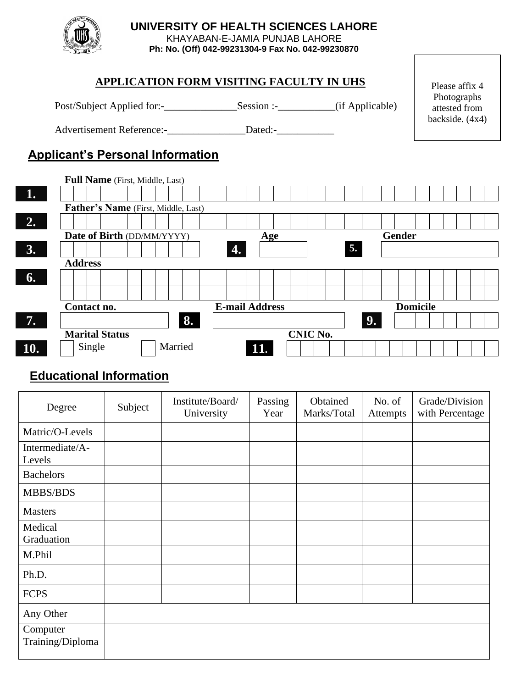

### **UNIVERSITY OF HEALTH SCIENCES LAHORE** KHAYABAN-E-JAMIA PUNJAB LAHORE

**Ph: No. (Off) 042-99231304-9 Fax No. 042-99230870**

## **APPLICATION FORM VISITING FACULTY IN UHS**

Post/Subject Applied for:-\_\_\_\_\_\_\_\_\_\_\_\_\_\_\_\_\_\_\_\_\_\_\_\_\_\_\_\_\_\_\_\_(if Applicable)

Please affix 4 Photographs attested from backside. (4x4)

Advertisement Reference:-\_\_\_\_\_\_\_\_\_\_\_\_\_\_\_Dated:-\_\_\_\_\_\_\_\_\_\_\_

# **Applicant's Personal Information**



# **Educational Information**

| Degree                       | Subject | Institute/Board/<br>University | Passing<br>Year | Obtained<br>Marks/Total | No. of<br>Attempts | Grade/Division<br>with Percentage |
|------------------------------|---------|--------------------------------|-----------------|-------------------------|--------------------|-----------------------------------|
| Matric/O-Levels              |         |                                |                 |                         |                    |                                   |
| Intermediate/A-<br>Levels    |         |                                |                 |                         |                    |                                   |
| <b>Bachelors</b>             |         |                                |                 |                         |                    |                                   |
| MBBS/BDS                     |         |                                |                 |                         |                    |                                   |
| <b>Masters</b>               |         |                                |                 |                         |                    |                                   |
| Medical<br>Graduation        |         |                                |                 |                         |                    |                                   |
| M.Phil                       |         |                                |                 |                         |                    |                                   |
| Ph.D.                        |         |                                |                 |                         |                    |                                   |
| <b>FCPS</b>                  |         |                                |                 |                         |                    |                                   |
| Any Other                    |         |                                |                 |                         |                    |                                   |
| Computer<br>Training/Diploma |         |                                |                 |                         |                    |                                   |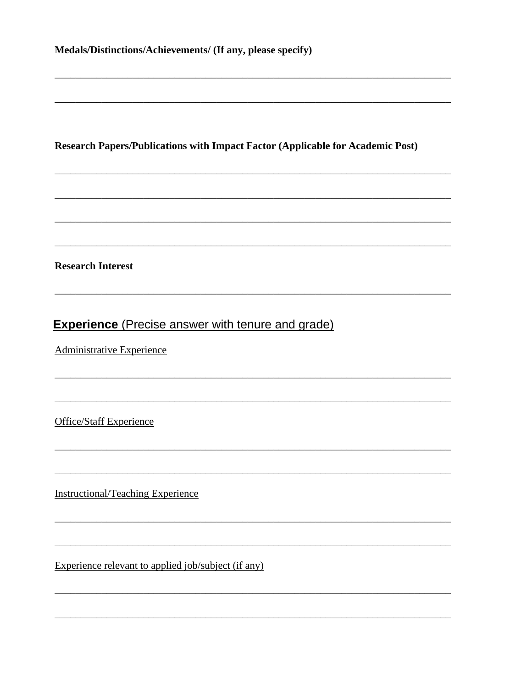### Research Papers/Publications with Impact Factor (Applicable for Academic Post)

#### **Research Interest**

## **Experience** (Precise answer with tenure and grade)

**Administrative Experience** 

**Office/Staff Experience** 

**Instructional/Teaching Experience** 

Experience relevant to applied job/subject (if any)